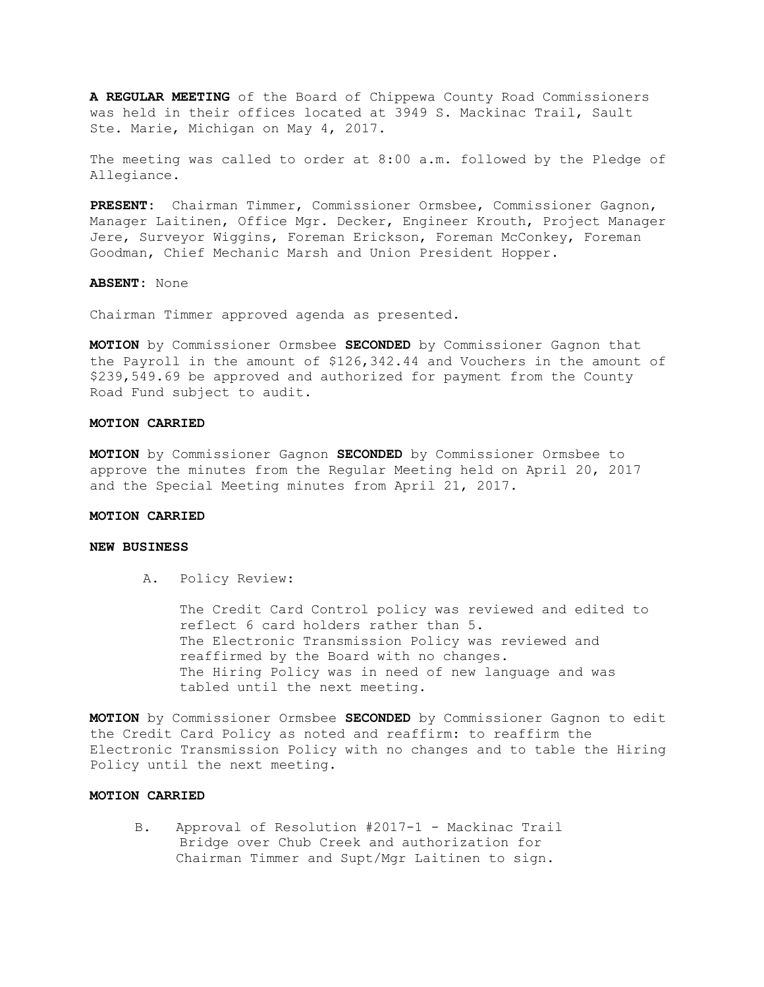**A REGULAR MEETING** of the Board of Chippewa County Road Commissioners was held in their offices located at 3949 S. Mackinac Trail, Sault Ste. Marie, Michigan on May 4, 2017.

The meeting was called to order at 8:00 a.m. followed by the Pledge of Allegiance.

**PRESENT:** Chairman Timmer, Commissioner Ormsbee, Commissioner Gagnon, Manager Laitinen, Office Mgr. Decker, Engineer Krouth, Project Manager Jere, Surveyor Wiggins, Foreman Erickson, Foreman McConkey, Foreman Goodman, Chief Mechanic Marsh and Union President Hopper.

**ABSENT:** None

Chairman Timmer approved agenda as presented.

**MOTION** by Commissioner Ormsbee **SECONDED** by Commissioner Gagnon that the Payroll in the amount of \$126,342.44 and Vouchers in the amount of \$239,549.69 be approved and authorized for payment from the County Road Fund subject to audit.

#### **MOTION CARRIED**

**MOTION** by Commissioner Gagnon **SECONDED** by Commissioner Ormsbee to approve the minutes from the Regular Meeting held on April 20, 2017 and the Special Meeting minutes from April 21, 2017.

#### **MOTION CARRIED**

### **NEW BUSINESS**

A. Policy Review:

The Credit Card Control policy was reviewed and edited to reflect 6 card holders rather than 5. The Electronic Transmission Policy was reviewed and reaffirmed by the Board with no changes. The Hiring Policy was in need of new language and was tabled until the next meeting.

**MOTION** by Commissioner Ormsbee **SECONDED** by Commissioner Gagnon to edit the Credit Card Policy as noted and reaffirm: to reaffirm the Electronic Transmission Policy with no changes and to table the Hiring Policy until the next meeting.

### **MOTION CARRIED**

 B. Approval of Resolution #2017-1 - Mackinac Trail Bridge over Chub Creek and authorization for Chairman Timmer and Supt/Mgr Laitinen to sign.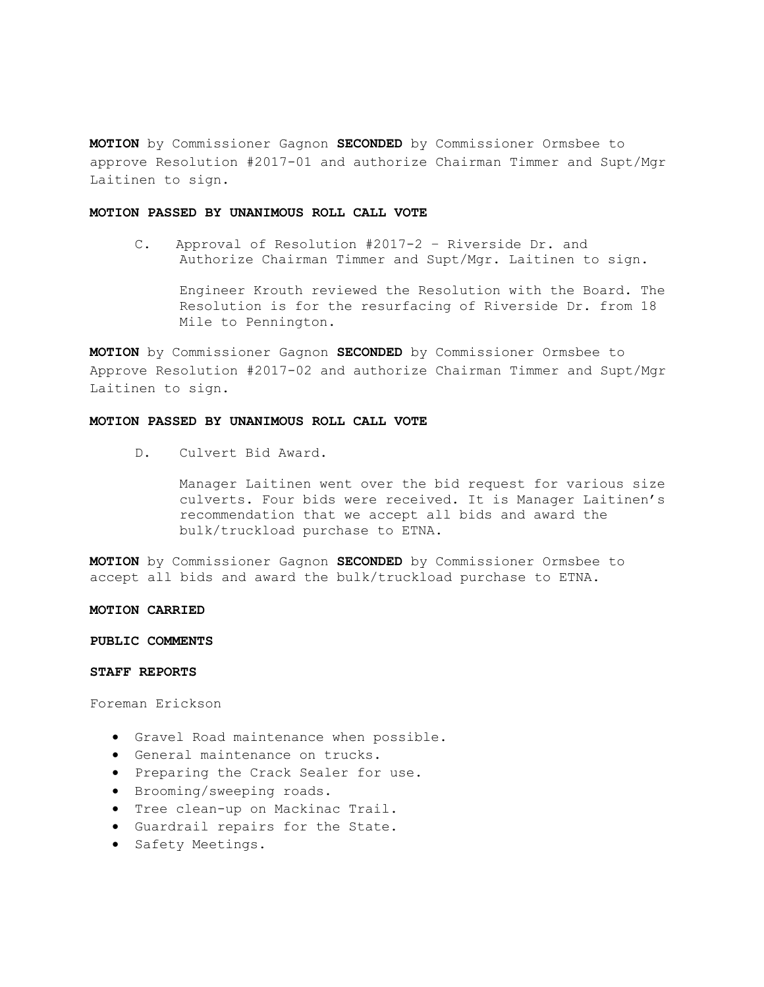**MOTION** by Commissioner Gagnon **SECONDED** by Commissioner Ormsbee to approve Resolution #2017-01 and authorize Chairman Timmer and Supt/Mgr Laitinen to sign.

# **MOTION PASSED BY UNANIMOUS ROLL CALL VOTE**

 C. Approval of Resolution #2017-2 – Riverside Dr. and Authorize Chairman Timmer and Supt/Mgr. Laitinen to sign.

Engineer Krouth reviewed the Resolution with the Board. The Resolution is for the resurfacing of Riverside Dr. from 18 Mile to Pennington.

**MOTION** by Commissioner Gagnon **SECONDED** by Commissioner Ormsbee to Approve Resolution #2017-02 and authorize Chairman Timmer and Supt/Mgr Laitinen to sign.

# **MOTION PASSED BY UNANIMOUS ROLL CALL VOTE**

D. Culvert Bid Award.

Manager Laitinen went over the bid request for various size culverts. Four bids were received. It is Manager Laitinen's recommendation that we accept all bids and award the bulk/truckload purchase to ETNA.

**MOTION** by Commissioner Gagnon **SECONDED** by Commissioner Ormsbee to accept all bids and award the bulk/truckload purchase to ETNA.

# **MOTION CARRIED**

#### **PUBLIC COMMENTS**

### **STAFF REPORTS**

Foreman Erickson

- Gravel Road maintenance when possible.
- General maintenance on trucks.
- Preparing the Crack Sealer for use.
- Brooming/sweeping roads.
- Tree clean-up on Mackinac Trail.
- Guardrail repairs for the State.
- Safety Meetings.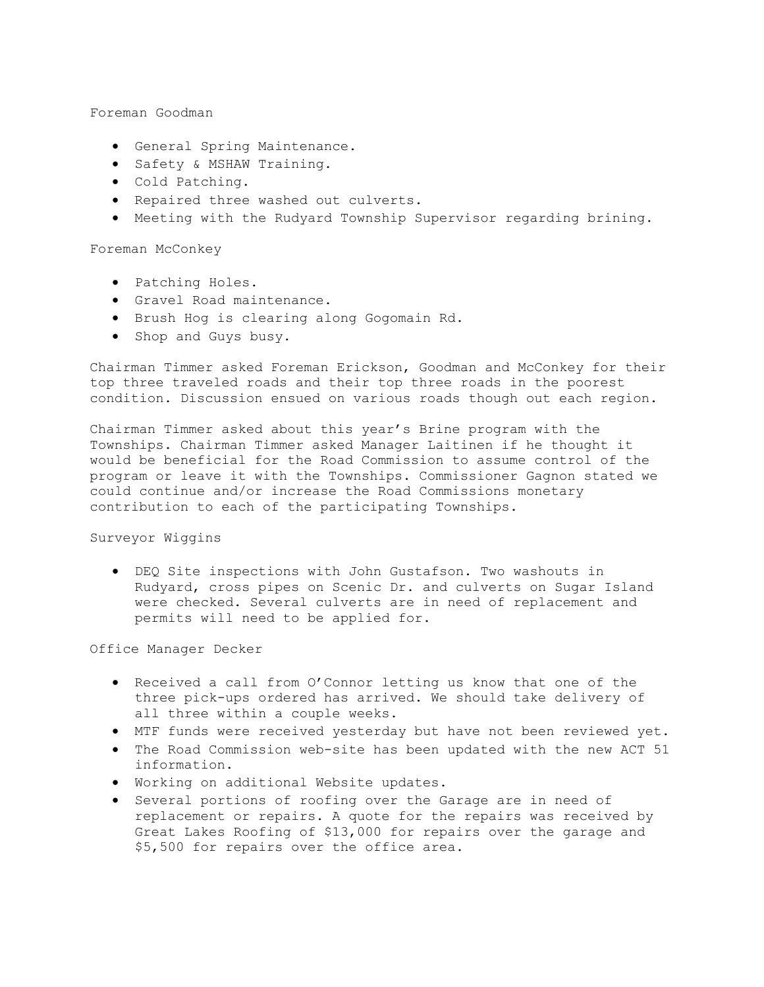Foreman Goodman

- General Spring Maintenance.
- Safety & MSHAW Training.
- Cold Patching.
- Repaired three washed out culverts.
- Meeting with the Rudyard Township Supervisor regarding brining.

Foreman McConkey

- Patching Holes.
- Gravel Road maintenance.
- Brush Hog is clearing along Gogomain Rd.
- Shop and Guys busy.

Chairman Timmer asked Foreman Erickson, Goodman and McConkey for their top three traveled roads and their top three roads in the poorest condition. Discussion ensued on various roads though out each region.

Chairman Timmer asked about this year's Brine program with the Townships. Chairman Timmer asked Manager Laitinen if he thought it would be beneficial for the Road Commission to assume control of the program or leave it with the Townships. Commissioner Gagnon stated we could continue and/or increase the Road Commissions monetary contribution to each of the participating Townships.

# Surveyor Wiggins

• DEQ Site inspections with John Gustafson. Two washouts in Rudyard, cross pipes on Scenic Dr. and culverts on Sugar Island were checked. Several culverts are in need of replacement and permits will need to be applied for.

Office Manager Decker

- Received a call from O'Connor letting us know that one of the three pick-ups ordered has arrived. We should take delivery of all three within a couple weeks.
- MTF funds were received yesterday but have not been reviewed yet.
- The Road Commission web-site has been updated with the new ACT 51 information.
- Working on additional Website updates.
- Several portions of roofing over the Garage are in need of replacement or repairs. A quote for the repairs was received by Great Lakes Roofing of \$13,000 for repairs over the garage and \$5,500 for repairs over the office area.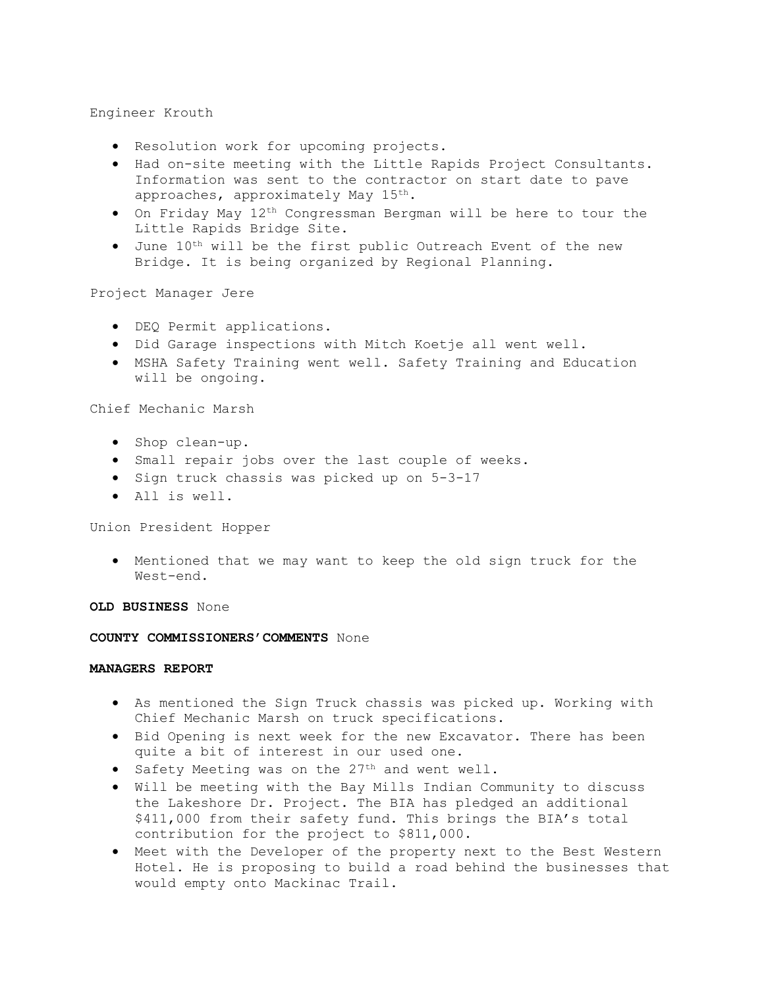# Engineer Krouth

- Resolution work for upcoming projects.
- Had on-site meeting with the Little Rapids Project Consultants. Information was sent to the contractor on start date to pave approaches, approximately May 15<sup>th</sup>.
- On Friday May 12th Congressman Bergman will be here to tour the Little Rapids Bridge Site.
- June 10th will be the first public Outreach Event of the new Bridge. It is being organized by Regional Planning.

Project Manager Jere

- DEQ Permit applications.
- Did Garage inspections with Mitch Koetje all went well.
- MSHA Safety Training went well. Safety Training and Education will be ongoing.

Chief Mechanic Marsh

- Shop clean-up.
- Small repair jobs over the last couple of weeks.
- Sign truck chassis was picked up on 5-3-17
- All is well.

Union President Hopper

• Mentioned that we may want to keep the old sign truck for the West-end.

**OLD BUSINESS** None

**COUNTY COMMISSIONERS'COMMENTS** None

# **MANAGERS REPORT**

- As mentioned the Sign Truck chassis was picked up. Working with Chief Mechanic Marsh on truck specifications.
- Bid Opening is next week for the new Excavator. There has been quite a bit of interest in our used one.
- Safety Meeting was on the  $27<sup>th</sup>$  and went well.
- Will be meeting with the Bay Mills Indian Community to discuss the Lakeshore Dr. Project. The BIA has pledged an additional \$411,000 from their safety fund. This brings the BIA's total contribution for the project to \$811,000.
- Meet with the Developer of the property next to the Best Western Hotel. He is proposing to build a road behind the businesses that would empty onto Mackinac Trail.